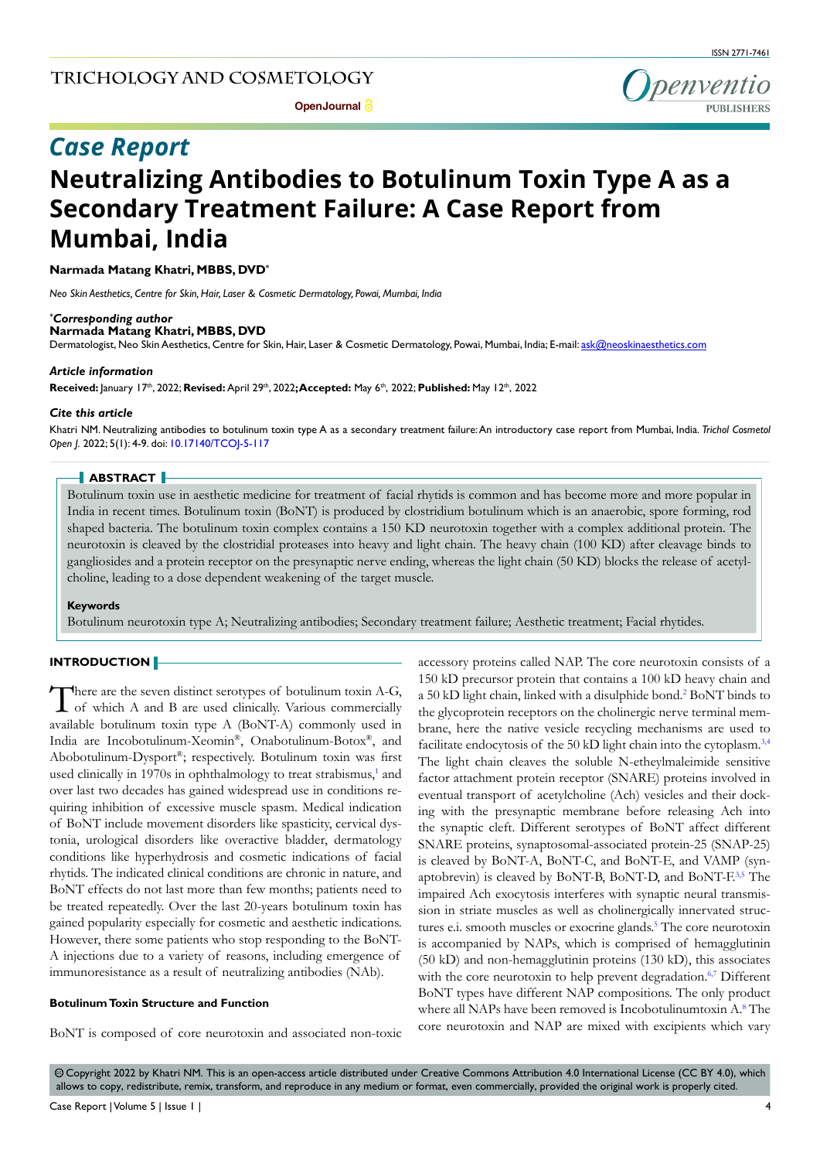

# *Case Report*

# **Neutralizing Antibodies to Botulinum Toxin Type A as a Secondary Treatment Failure: A Case Report from Mumbai, India**

#### **Narmada Matang Khatri, MBBS, DVD\***

*Neo Skin Aesthetics, Centre for Skin, Hair, Laser & Cosmetic Dermatology, Powai, Mumbai, India*

#### *\* Corresponding author*

**Narmada Matang Khatri, MBBS, DVD** 

Dermatologist, Neo Skin Aesthetics, Centre for Skin, Hair, Laser & Cosmetic Dermatology, Powai, Mumbai, India; E-mail: ask@neoskinaesthetics.com

#### *Article information*

**Received:** January 17th, 2022; **Revised:** April 29th, 2022**; Accepted:** May 6th, 2022; **Published:** May 12th, 2022

#### *Cite this article*

Khatri NM. Neutralizing antibodies to botulinum toxin type A as a secondary treatment failure: An introductory case report from Mumbai, India. *Trichol Cosmetol Open J.* 2022; 5(1): 4-9. doi: [10.17140/TCOJ-5-117](http://dx.doi.org/10.17140/TCOJ-5-117)

#### **ABSTRACT**

Botulinum toxin use in aesthetic medicine for treatment of facial rhytids is common and has become more and more popular in India in recent times. Botulinum toxin (BoNT) is produced by clostridium botulinum which is an anaerobic, spore forming, rod shaped bacteria. The botulinum toxin complex contains a 150 KD neurotoxin together with a complex additional protein. The neurotoxin is cleaved by the clostridial proteases into heavy and light chain. The heavy chain (100 KD) after cleavage binds to gangliosides and a protein receptor on the presynaptic nerve ending, whereas the light chain (50 KD) blocks the release of acetylcholine, leading to a dose dependent weakening of the target muscle.

#### **Keywords**

Botulinum neurotoxin type A; Neutralizing antibodies; Secondary treatment failure; Aesthetic treatment; Facial rhytides.

#### **INTRODUCTION**

There are the seven distinct serotypes of botulinum toxin A-G, of which A and B are used clinically. Various commercially available botulinum toxin type A (BoNT-A) commonly used in India are Incobotulinum-Xeomin®, Onabotulinum-Botox®, and Abobotulinum-Dysport®; respectively. Botulinum toxin was first used clinically in 1970s in ophthalmology to treat strabismus,<sup>1</sup> and over last two decades has gained widespread use in conditions requiring inhibition of excessive muscle spasm. Medical indication of BoNT include movement disorders like spasticity, cervical dystonia, urological disorders like overactive bladder, dermatology conditions like hyperhydrosis and cosmetic indications of facial rhytids. The indicated clinical conditions are chronic in nature, and BoNT effects do not last more than few months; patients need to be treated repeatedly. Over the last 20-years botulinum toxin has gained popularity especially for cosmetic and aesthetic indications. However, there some patients who stop responding to the BoNT-A injections due to a variety of reasons, including emergence of immunoresistance as a result of neutralizing antibodies (NAb).

#### **Botulinum Toxin Structure and Function**

BoNT is composed of core neurotoxin and associated non-toxic

accessory proteins called NAP. The core neurotoxin consists of a 150 kD precursor protein that contains a 100 kD heavy chain and a 50 kD light chain, linked with a disulphide bond.<sup>[2](#page-3-1)</sup> BoNT binds to the glycoprotein receptors on the cholinergic nerve terminal membrane, here the native vesicle recycling mechanisms are used to facilitate endocytosis of the 50 kD light chain into the cytoplasm.<sup>[3,4](#page-3-2)</sup> The light chain cleaves the soluble N-etheylmaleimide sensitive factor attachment protein receptor (SNARE) proteins involved in eventual transport of acetylcholine (Ach) vesicles and their docking with the presynaptic membrane before releasing Ach into the synaptic cleft. Different serotypes of BoNT affect different SNARE proteins, synaptosomal-associated protein-25 (SNAP-25) is cleaved by BoNT-A, BoNT-C, and BoNT-E, and VAMP (synaptobrevin) is cleaved by BoNT-B, BoNT-D, and BoNT-F.<sup>3,5</sup> The impaired Ach exocytosis interferes with synaptic neural transmission in striate muscles as well as cholinergically innervated struc-tures e.i. smooth muscles or exocrine glands.<sup>[5](#page-3-3)</sup> The core neurotoxin is accompanied by NAPs, which is comprised of hemagglutinin (50 kD) and non-hemagglutinin proteins (130 kD), this associates with the core neurotoxin to help prevent degradation.<sup>6,7</sup> Different BoNT types have different NAP compositions. The only product where all NAPs have been removed is Incobotulinumtoxin A.<sup>8</sup> The core neurotoxin and NAP are mixed with excipients which vary

 $\circledcirc$  Copyright 2022 by Khatri NM. This is an open-access article distributed under Creative Commons Attribution 4.0 International License (CC BY 4.0), which allows to copy, redistribute, remix, transform, and reproduce in any medium or format, even commercially, provided the original work is properly cited.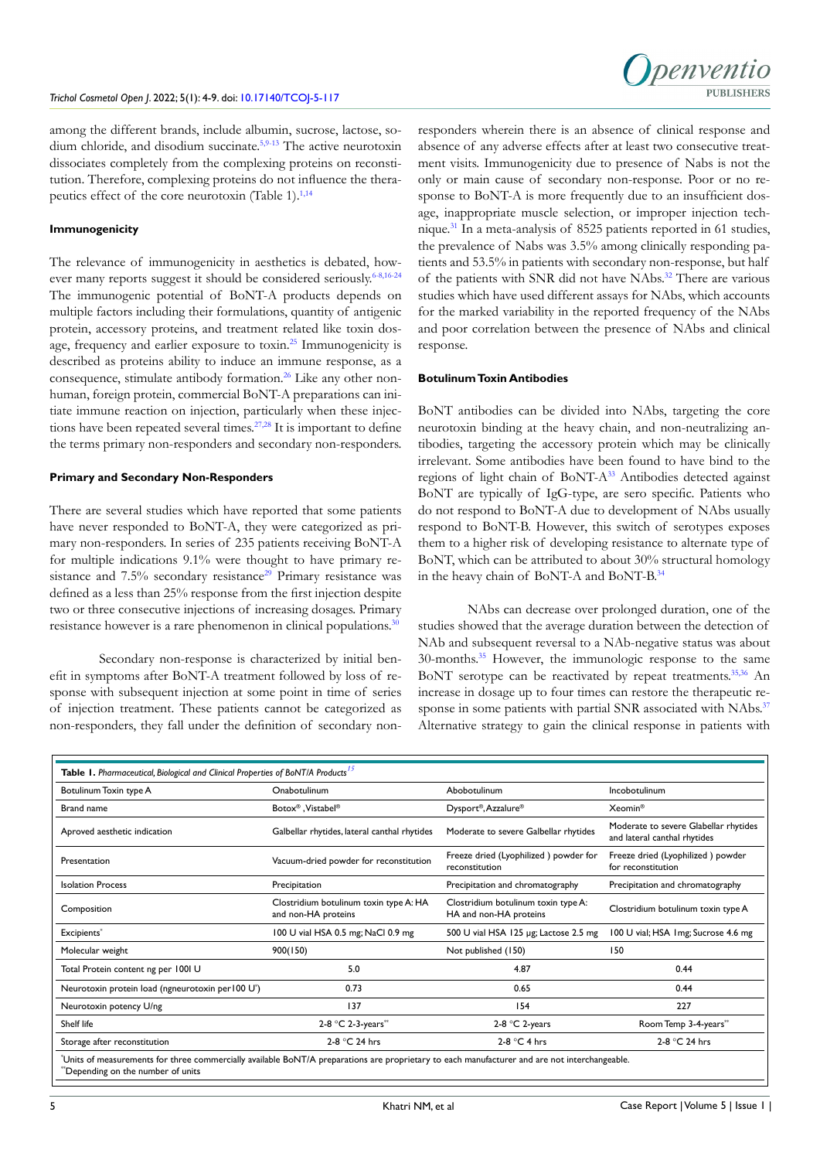among the different brands, include albumin, sucrose, lactose, so-dium chloride, and disodium succinate.<sup>[5,](#page-3-3)9-13</sup> The active neurotoxin dissociates completely from the complexing proteins on reconstitution. Therefore, complexing proteins do not influence the therapeutics effect of the core neurotoxin (Table 1). $^{1,14}$  $^{1,14}$  $^{1,14}$  $^{1,14}$ 

#### **Immunogenicity**

The relevance of immunogenicity in aesthetics is debated, how-ever many reports suggest it should be considered seriously.<sup>6-8,[16-24](#page-4-0)</sup> The immunogenic potential of BoNT-A products depends on multiple factors including their formulations, quantity of antigenic protein, accessory proteins, and treatment related like toxin dosage, frequency and earlier exposure to toxin[.25](#page-4-1) Immunogenicity is described as proteins ability to induce an immune response, as a consequence, stimulate antibody formation.<sup>[26](#page-4-2)</sup> Like any other nonhuman, foreign protein, commercial BoNT-A preparations can initiate immune reaction on injection, particularly when these injec-tions have been repeated several times.<sup>[27,28](#page-4-3)</sup> It is important to define the terms primary non-responders and secondary non-responders.

#### **Primary and Secondary Non-Responders**

There are several studies which have reported that some patients have never responded to BoNT-A, they were categorized as primary non-responders. In series of 235 patients receiving BoNT-A for multiple indications 9.1% were thought to have primary resistance and  $7.5\%$  secondary resistance<sup>29</sup> Primary resistance was defined as a less than 25% response from the first injection despite two or three consecutive injections of increasing dosages. Primary resistance however is a rare phenomenon in clinical populations.<sup>30</sup>

Secondary non-response is characterized by initial benefit in symptoms after BoNT-A treatment followed by loss of response with subsequent injection at some point in time of series of injection treatment. These patients cannot be categorized as non-responders, they fall under the definition of secondary nonresponders wherein there is an absence of clinical response and absence of any adverse effects after at least two consecutive treatment visits. Immunogenicity due to presence of Nabs is not the only or main cause of secondary non-response. Poor or no response to BoNT-A is more frequently due to an insufficient dosage, inappropriate muscle selection, or improper injection technique.[31](#page-4-6) In a meta-analysis of 8525 patients reported in 61 studies, the prevalence of Nabs was 3.5% among clinically responding patients and 53.5% in patients with secondary non-response, but half of the patients with SNR did not have NAbs.<sup>[32](#page-4-7)</sup> There are various studies which have used different assays for NAbs, which accounts for the marked variability in the reported frequency of the NAbs and poor correlation between the presence of NAbs and clinical response.

#### **Botulinum Toxin Antibodies**

BoNT antibodies can be divided into NAbs, targeting the core neurotoxin binding at the heavy chain, and non-neutralizing antibodies, targeting the accessory protein which may be clinically irrelevant. Some antibodies have been found to have bind to the regions of light chain of BoNT-[A33](#page-4-8) Antibodies detected against BoNT are typically of IgG-type, are sero specific. Patients who do not respond to BoNT-A due to development of NAbs usually respond to BoNT-B. However, this switch of serotypes exposes them to a higher risk of developing resistance to alternate type of BoNT, which can be attributed to about 30% structural homology in the heavy chain of BoNT-A and BoNT-B[.34](#page-4-9)

NAbs can decrease over prolonged duration, one of the studies showed that the average duration between the detection of NAb and subsequent reversal to a NAb-negative status was about 30-months.[35](#page-4-10) However, the immunologic response to the same BoNT serotype can be reactivated by repeat treatments.<sup>[35,36](#page-4-10)</sup> An increase in dosage up to four times can restore the therapeutic re-sponse in some patients with partial SNR associated with NAbs.<sup>[37](#page-4-11)</sup> Alternative strategy to gain the clinical response in patients with

| Table 1. Pharmaceutical, Biological and Clinical Properties of BoNT/A Products <sup>15</sup> |                                                               |                                                               |                                                                       |  |
|----------------------------------------------------------------------------------------------|---------------------------------------------------------------|---------------------------------------------------------------|-----------------------------------------------------------------------|--|
| Botulinum Toxin type A                                                                       | Onabotulinum                                                  | Abobotulinum                                                  | Incobotulinum                                                         |  |
| Brand name                                                                                   | Botox <sup>®</sup> , Vistabel <sup>®</sup>                    | Dysport®, Azzalure®                                           | Xeomin <sup>®</sup>                                                   |  |
| Aproved aesthetic indication                                                                 | Galbellar rhytides, lateral canthal rhytides                  | Moderate to severe Galbellar rhytides                         | Moderate to severe Glabellar rhytides<br>and lateral canthal rhytides |  |
| Presentation                                                                                 | Vacuum-dried powder for reconstitution                        | Freeze dried (Lyophilized) powder for<br>reconstitution       | Freeze dried (Lyophilized) powder<br>for reconstitution               |  |
| <b>Isolation Process</b>                                                                     | Precipitation                                                 | Precipitation and chromatography                              | Precipitation and chromatography                                      |  |
| Composition                                                                                  | Clostridium botulinum toxin type A: HA<br>and non-HA proteins | Clostridium botulinum toxin type A:<br>HA and non-HA proteins | Clostridium botulinum toxin type A                                    |  |
| Excipients*                                                                                  | 100 U vial HSA 0.5 mg; NaCl 0.9 mg                            | 500 U vial HSA 125 µg; Lactose 2.5 mg                         | 100 U vial; HSA 1mg; Sucrose 4.6 mg                                   |  |
| Molecular weight                                                                             | 900(150)                                                      | Not published (150)                                           | 150                                                                   |  |
| Total Protein content ng per 1001 U                                                          | 5.0                                                           | 4.87                                                          | 0.44                                                                  |  |
| Neurotoxin protein load (ngneurotoxin per 100 U <sup>*</sup> )                               | 0.73                                                          | 0.65                                                          | 0.44                                                                  |  |
| Neurotoxin potency U/ng                                                                      | 137                                                           | 154                                                           | 227                                                                   |  |
| Shelf life                                                                                   | 2-8 °C 2-3-years**                                            | 2-8 $°C$ 2-years                                              | Room Temp 3-4-years**                                                 |  |
| Storage after reconstitution                                                                 | 2-8 °C 24 hrs                                                 | 2-8 $°C$ 4 hrs                                                | 2-8 °C 24 hrs                                                         |  |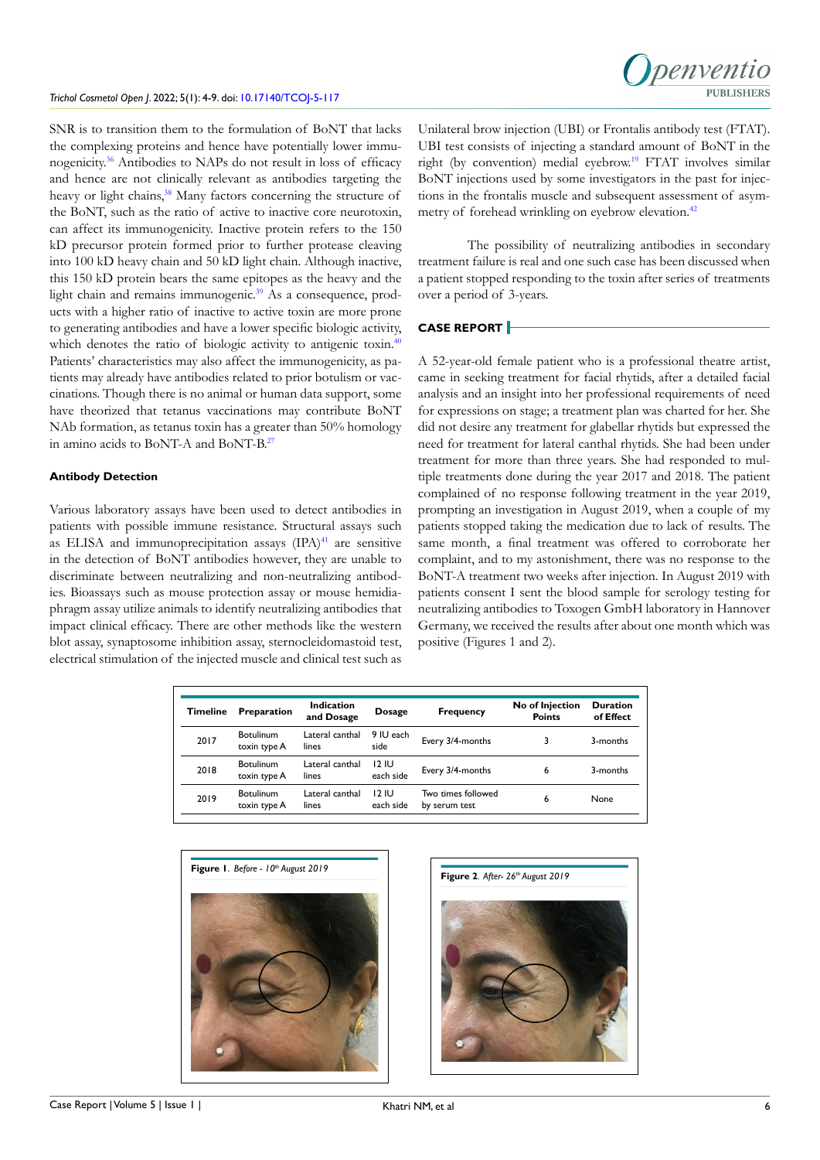#### *Trichol Cosmetol Open J*. 2022; 5(1): 4-9. doi: [10.17140/TCOJ-5-117](http://dx.doi.org/10.17140/TCOJ-5-117)

SNR is to transition them to the formulation of BoNT that lacks the complexing proteins and hence have potentially lower immunogenicity[.36](#page-4-12) Antibodies to NAPs do not result in loss of efficacy and hence are not clinically relevant as antibodies targeting the heavy or light chains,<sup>38</sup> Many factors concerning the structure of the BoNT, such as the ratio of active to inactive core neurotoxin, can affect its immunogenicity. Inactive protein refers to the 150 kD precursor protein formed prior to further protease cleaving into 100 kD heavy chain and 50 kD light chain. Although inactive, this 150 kD protein bears the same epitopes as the heavy and the light chain and remains immunogenic.<sup>[39](#page-4-14)</sup> As a consequence, products with a higher ratio of inactive to active toxin are more prone to generating antibodies and have a lower specific biologic activity, which denotes the ratio of biologic activity to antigenic toxin.<sup>40</sup> Patients' characteristics may also affect the immunogenicity, as patients may already have antibodies related to prior botulism or vaccinations. Though there is no animal or human data support, some have theorized that tetanus vaccinations may contribute BoNT NAb formation, as tetanus toxin has a greater than 50% homology in amino acids to BoNT-A and BoNT-B[.27](#page-4-3)

#### **Antibody Detection**

Various laboratory assays have been used to detect antibodies in patients with possible immune resistance. Structural assays such as ELISA and immunoprecipitation assays  $(IPA)^{41}$  are sensitive in the detection of BoNT antibodies however, they are unable to discriminate between neutralizing and non-neutralizing antibodies. Bioassays such as mouse protection assay or mouse hemidiaphragm assay utilize animals to identify neutralizing antibodies that impact clinical efficacy. There are other methods like the western blot assay, synaptosome inhibition assay, sternocleidomastoid test, electrical stimulation of the injected muscle and clinical test such as

Unilateral brow injection (UBI) or Frontalis antibody test (FTAT). UBI test consists of injecting a standard amount of BoNT in the right (by convention) medial eyebrow.<sup>19</sup> FTAT involves similar BoNT injections used by some investigators in the past for injections in the frontalis muscle and subsequent assessment of asym-metry of forehead wrinkling on eyebrow elevation.<sup>[42](#page-5-2)</sup>

The possibility of neutralizing antibodies in secondary treatment failure is real and one such case has been discussed when a patient stopped responding to the toxin after series of treatments over a period of 3-years.

### **CASE REPORT**

A 52-year-old female patient who is a professional theatre artist, came in seeking treatment for facial rhytids, after a detailed facial analysis and an insight into her professional requirements of need for expressions on stage; a treatment plan was charted for her. She did not desire any treatment for glabellar rhytids but expressed the need for treatment for lateral canthal rhytids. She had been under treatment for more than three years. She had responded to multiple treatments done during the year 2017 and 2018. The patient complained of no response following treatment in the year 2019, prompting an investigation in August 2019, when a couple of my patients stopped taking the medication due to lack of results. The same month, a final treatment was offered to corroborate her complaint, and to my astonishment, there was no response to the BoNT-A treatment two weeks after injection. In August 2019 with patients consent I sent the blood sample for serology testing for neutralizing antibodies to Toxogen GmbH laboratory in Hannover Germany, we received the results after about one month which was positive (Figures 1 and 2).

| Timeline | Preparation               | Indication<br>and Dosage | <b>Dosage</b>      | <b>Frequency</b>                    | No of Injection<br><b>Points</b> | <b>Duration</b><br>of Effect |
|----------|---------------------------|--------------------------|--------------------|-------------------------------------|----------------------------------|------------------------------|
| 2017     | Botulinum<br>toxin type A | Lateral canthal<br>lines | 9 IU each<br>side  | Every 3/4-months                    |                                  | 3-months                     |
| 2018     | Botulinum<br>toxin type A | Lateral canthal<br>lines | 12 IU<br>each side | Every 3/4-months                    | 6                                | 3-months                     |
| 2019     | Botulinum<br>toxin type A | Lateral canthal<br>lines | 12 IU<br>each side | Two times followed<br>by serum test | 6                                | None                         |



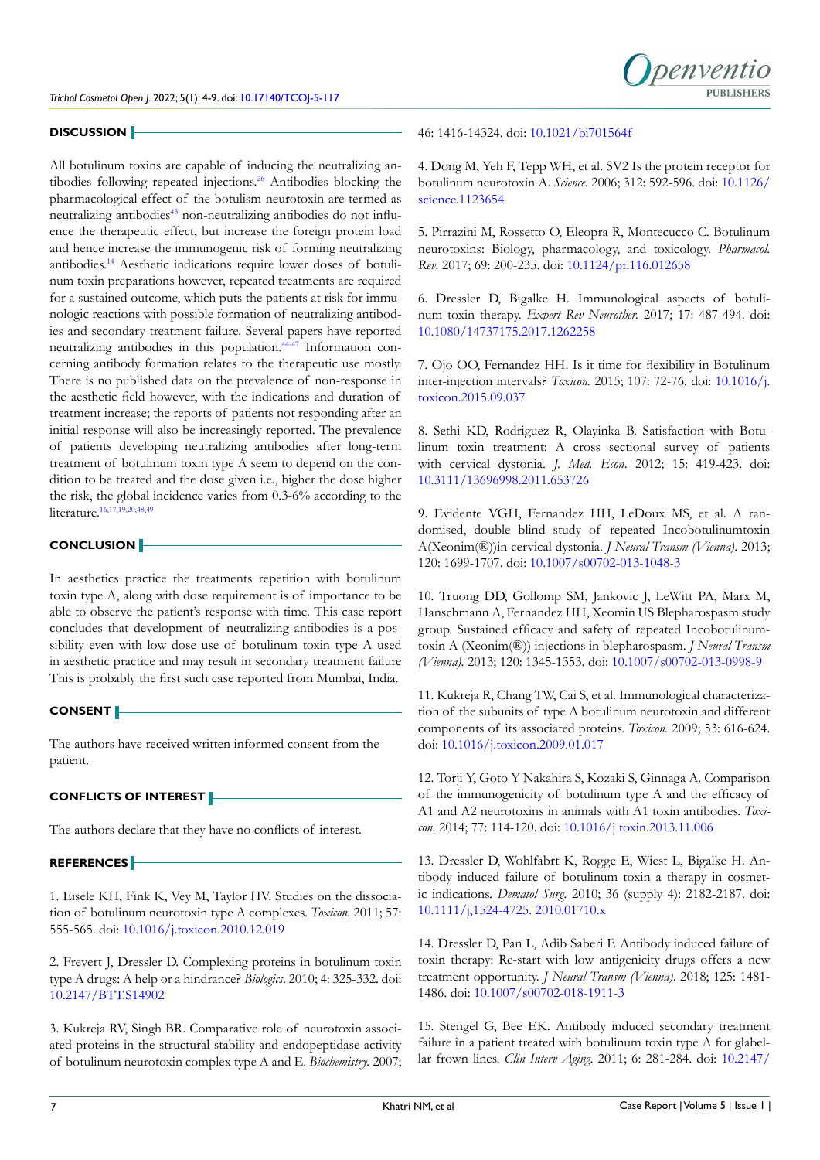

#### **DISCUSSION**

All botulinum toxins are capable of inducing the neutralizing an-tibodies following repeated injections.<sup>[26](#page-4-2)</sup> Antibodies blocking the pharmacological effect of the botulism neurotoxin are termed as neutralizing antibodies<sup>[43](#page-5-3)</sup> non-neutralizing antibodies do not influence the therapeutic effect, but increase the foreign protein load and hence increase the immunogenic risk of forming neutralizing antibodies[.14](#page-3-7) Aesthetic indications require lower doses of botulinum toxin preparations however, repeated treatments are required for a sustained outcome, which puts the patients at risk for immunologic reactions with possible formation of neutralizing antibodies and secondary treatment failure. Several papers have reported neutralizing antibodies in this population.<sup>44-47</sup> Information concerning antibody formation relates to the therapeutic use mostly. There is no published data on the prevalence of non-response in the aesthetic field however, with the indications and duration of treatment increase; the reports of patients not responding after an initial response will also be increasingly reported. The prevalence of patients developing neutralizing antibodies after long-term treatment of botulinum toxin type A seem to depend on the condition to be treated and the dose given i.e., higher the dose higher the risk, the global incidence varies from 0.3-6% according to the literature[.16,17,](#page-4-0)[19,20,](#page-4-15)[48,49](#page-5-5)

#### **CONCLUSION**

In aesthetics practice the treatments repetition with botulinum toxin type A, along with dose requirement is of importance to be able to observe the patient's response with time. This case report concludes that development of neutralizing antibodies is a possibility even with low dose use of botulinum toxin type A used in aesthetic practice and may result in secondary treatment failure This is probably the first such case reported from Mumbai, India.

# **CONSENT**

The authors have received written informed consent from the patient.

#### **CONFLICTS OF INTEREST**

The authors declare that they have no conflicts of interest.

#### **REFERENCES**

<span id="page-3-0"></span>1. Eisele KH, Fink K, Vey M, Taylor HV. Studies on the dissociation of botulinum neurotoxin type A complexes. *Toxicon*. 2011; 57: 555-565. doi: [10.1016/j.toxicon.2010.12.019](http://doi.org/10.1016/j.toxicon.2010.12.019)

<span id="page-3-1"></span>2. Frevert J, Dressler D. Complexing proteins in botulinum toxin type A drugs: A help or a hindrance? *Biologics*. 2010; 4: 325-332. doi: [10.2147/BTT.S14902](http://doi.org/10.2147/BTT.S14902)

<span id="page-3-2"></span>3. Kukreja RV, Singh BR. Comparative role of neurotoxin associated proteins in the structural stability and endopeptidase activity of botulinum neurotoxin complex type A and E. *Biochemistry.* 2007;

# 46: 1416-14324. doi: [10.1021/bi701564f](http://doi.org/10.1021/bi701564f)

4. Dong M, Yeh F, Tepp WH, et al. SV2 Is the protein receptor for botulinum neurotoxin A. *Science.* 2006; 312: 592-596. doi: [10.1126/](http://doi.org/10.1126/science.1123654) [science.1123654](http://doi.org/10.1126/science.1123654)

<span id="page-3-3"></span>5. Pirrazini M, Rossetto O, Eleopra R, Montecucco C. Botulinum neurotoxins: Biology, pharmacology, and toxicology. *Pharmacol. Rev*. 2017; 69: 200-235. doi: [10.1124/pr.116.012658](http://doi.org/10.1124/pr.116.012658)

<span id="page-3-4"></span>6. Dressler D, Bigalke H. Immunological aspects of botulinum toxin therapy. *Expert Rev Neurother.* 2017; 17: 487-494. doi: [10.1080/14737175.2017.1262258](http://doi.org/10.1080/14737175.2017.1262258)

7. Ojo OO, Fernandez HH. Is it time for flexibility in Botulinum inter-injection intervals? *Toxicon.* 2015; 107: 72-76. doi: [10.1016/j.](http://doi.org/10.1016/j.toxicon.2015.09.037) [toxicon.2015.09.037](http://doi.org/10.1016/j.toxicon.2015.09.037)

<span id="page-3-5"></span>8. Sethi KD, Rodriguez R, Olayinka B. Satisfaction with Botulinum toxin treatment: A cross sectional survey of patients with cervical dystonia. *J. Med. Econ*. 2012; 15: 419-423. doi: [10.3111/13696998.2011.653726](http://doi.org/10.3111/13696998.2011.653726)

<span id="page-3-6"></span>9. Evidente VGH, Fernandez HH, LeDoux MS, et al. A randomised, double blind study of repeated Incobotulinumtoxin A(Xeonim(®))in cervical dystonia. *J Neural Transm (Vienna)*. 2013; 120: 1699-1707. doi: [10.1007/s00702-013-1048-3](http://doi.org/10.1007/s00702-013-1048-3)

10. Truong DD, Gollomp SM, Jankovic J, LeWitt PA, Marx M, Hanschmann A, Fernandez HH, Xeomin US Blepharospasm study group. Sustained efficacy and safety of repeated Incobotulinumtoxin A (Xeonim(®)) injections in blepharospasm. *J Neural Transm (Vienna)*. 2013; 120: 1345-1353. doi: [10.1007/s00702-013-0998-9](http://doi.org/10.1007/s00702-013-0998-9)

11. Kukreja R, Chang TW, Cai S, et al. Immunological characterization of the subunits of type A botulinum neurotoxin and different components of its associated proteins. *Toxicon.* 2009; 53: 616-624. doi: [10.1016/j.toxicon.2009.01.017](http://doi.org/10.1016/j.toxicon.2009.01.017)

12. Torji Y, Goto Y Nakahira S, Kozaki S, Ginnaga A. Comparison of the immunogenicity of botulinum type A and the efficacy of A1 and A2 neurotoxins in animals with A1 toxin antibodies. *Toxicon*. 2014; 77: 114-120. doi: [10.1016/j toxin.2013.11.006](http://doi.org/10.1016/j toxin.2013.11.006)

13. Dressler D, Wohlfabrt K, Rogge E, Wiest L, Bigalke H. Antibody induced failure of botulinum toxin a therapy in cosmetic indications. *Dematol Surg*. 2010; 36 (supply 4): 2182-2187. doi: [10.1111/j,1524-4725. 2010.01710.x](http://doi.org/10.1111/j,1524-4725. 2010.01710.x)

<span id="page-3-7"></span>14. Dressler D, Pan L, Adib Saberi F. Antibody induced failure of toxin therapy: Re-start with low antigenicity drugs offers a new treatment opportunity. *J Neural Transm (Vienna)*. 2018; 125: 1481- 1486. doi: [10.1007/s00702-018-1911-3](http://doi.org/10.1007/s00702-018-1911-3)

<span id="page-3-8"></span>15. Stengel G, Bee EK. Antibody induced secondary treatment failure in a patient treated with botulinum toxin type A for glabellar frown lines. *Clin Interv Aging*. 2011; 6: 281-284. doi: [10.2147/](http://doi.org/10.2147/CIA. S18997)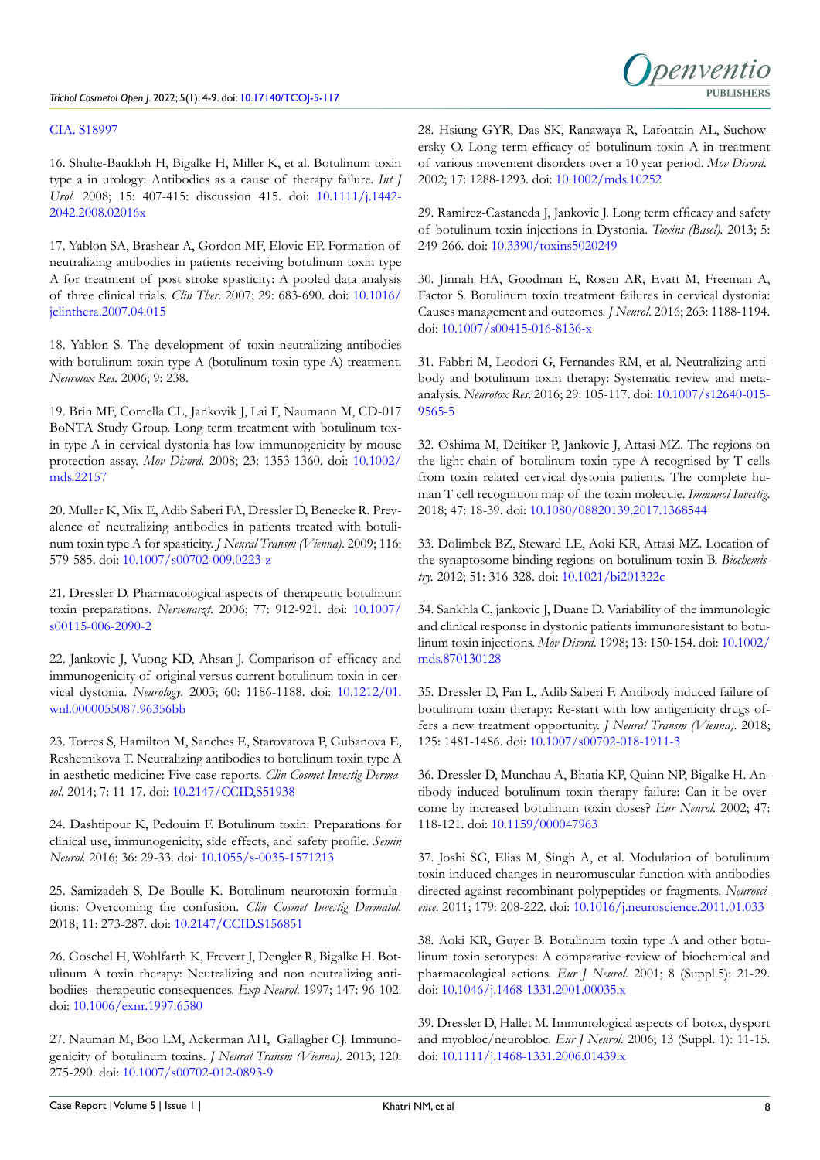### [CIA. S18997](http://doi.org/10.2147/CIA. S18997)

<span id="page-4-0"></span>16. Shulte-Baukloh H, Bigalke H, Miller K, et al. Botulinum toxin type a in urology: Antibodies as a cause of therapy failure. *Int J Urol*. 2008; 15: 407-415: discussion 415. doi: [10.1111/j.1442-](http://doi.org/10.1111/j.1442-2042.2008.02016x) [2042.2008.02016x](http://doi.org/10.1111/j.1442-2042.2008.02016x)

17. Yablon SA, Brashear A, Gordon MF, Elovic EP. Formation of neutralizing antibodies in patients receiving botulinum toxin type A for treatment of post stroke spasticity: A pooled data analysis of three clinical trials. *Clin Ther*. 2007; 29: 683-690. doi: [10.1016/](http://doi.org/10.1016/jclinthera.2007.04.015) [jclinthera.2007.04.015](http://doi.org/10.1016/jclinthera.2007.04.015)

18. Yablon S. The development of toxin neutralizing antibodies with botulinum toxin type A (botulinum toxin type A) treatment. *Neurotox Res*. 2006; 9: 238.

<span id="page-4-15"></span>19. Brin MF, Comella CL, Jankovik J, Lai F, Naumann M, CD-017 BoNTA Study Group. Long term treatment with botulinum toxin type A in cervical dystonia has low immunogenicity by mouse protection assay. *Mov Disord*. 2008; 23: 1353-1360. doi: [10.1002/](http://doi.org/10.1002/mds.22157) [mds.22157](http://doi.org/10.1002/mds.22157)

20. Muller K, Mix E, Adib Saberi FA, Dressler D, Benecke R. Prevalence of neutralizing antibodies in patients treated with botulinum toxin type A for spasticity. *J Neural Transm (Vienna)*. 2009; 116: 579-585. doi: [10.1007/s00702-009.0223-z](http://doi.org/10.1007/s00702-009.0223-z )

21. Dressler D. Pharmacological aspects of therapeutic botulinum toxin preparations. *Nervenarzt*. 2006; 77: 912-921. doi: [10.1007/](http://doi.org/10.1007/s00115-006-2090-2) [s00115-006-2090-2](http://doi.org/10.1007/s00115-006-2090-2)

22. Jankovic J, Vuong KD, Ahsan J. Comparison of efficacy and immunogenicity of original versus current botulinum toxin in cervical dystonia. *Neurology*. 2003; 60: 1186-1188. doi: [10.1212/01.](http://doi.org/10.1212/01.wnl.0000055087.96356bb) [wnl.0000055087.96356bb](http://doi.org/10.1212/01.wnl.0000055087.96356bb)

23. Torres S, Hamilton M, Sanches E, Starovatova P, Gubanova E, Reshetnikova T. Neutralizing antibodies to botulinum toxin type A in aesthetic medicine: Five case reports. *Clin Cosmet Investig Dermatol*. 2014; 7: 11-17. doi: [10.2147/CCID,S51938](http://doi.org/10.2147/CCID,S51938)

24. Dashtipour K, Pedouim F. Botulinum toxin: Preparations for clinical use, immunogenicity, side effects, and safety profile. *Semin Neurol.* 2016; 36: 29-33. doi: [10.1055/s-0035-1571213](http://doi.org/10.1055/s-0035-1571213)

<span id="page-4-1"></span>25. Samizadeh S, De Boulle K. Botulinum neurotoxin formulations: Overcoming the confusion. *Clin Cosmet Investig Dermatol.*  2018; 11: 273-287. doi: [10.2147/CCID.S156851](http://doi.org/10.2147/CCID.S156851)

<span id="page-4-2"></span>26. Goschel H, Wohlfarth K, Frevert J, Dengler R, Bigalke H. Botulinum A toxin therapy: Neutralizing and non neutralizing antibodiies- therapeutic consequences. *Exp Neurol*. 1997; 147: 96-102. doi: [10.1006/exnr.1997.6580](http://doi.org/10.1006/exnr.1997.6580)

<span id="page-4-3"></span>27. Nauman M, Boo LM, Ackerman AH, Gallagher CJ. Immunogenicity of botulinum toxins. *J Neural Transm (Vienna)*. 2013; 120: 275-290. doi: [10.1007/s00702-012-0893-9](http://doi.org/10.1007/s00702-012-0893-9)

28. Hsiung GYR, Das SK, Ranawaya R, Lafontain AL, Suchowersky O. Long term efficacy of botulinum toxin A in treatment of various movement disorders over a 10 year period. *Mov Disord*. 2002; 17: 1288-1293. doi: [10.1002/mds.10252](http://doi.org/10.1002/mds.10252)

<span id="page-4-4"></span>29. Ramirez-Castaneda J, Jankovic J. Long term efficacy and safety of botulinum toxin injections in Dystonia. *Toxins (Basel).* 2013; 5: 249-266. doi: [10.3390/toxins5020249](http://doi.org/10.3390/toxins5020249)

<span id="page-4-5"></span>30. Jinnah HA, Goodman E, Rosen AR, Evatt M, Freeman A, Factor S. Botulinum toxin treatment failures in cervical dystonia: Causes management and outcomes. *J Neurol*. 2016; 263: 1188-1194. doi: [10.1007/s00415-016-8136-x](http://doi.org/10.1007/s00415-016-8136-x)

<span id="page-4-6"></span>31. Fabbri M, Leodori G, Fernandes RM, et al. Neutralizing antibody and botulinum toxin therapy: Systematic review and metaanalysis. *Neurotox Res*. 2016; 29: 105-117. doi: [10.1007/s12640-015-](http://doi.org/10.1007/s12640-015-9565-5) [9565-5](http://doi.org/10.1007/s12640-015-9565-5)

<span id="page-4-7"></span>32. Oshima M, Deitiker P, Jankovic J, Attasi MZ. The regions on the light chain of botulinum toxin type A recognised by T cells from toxin related cervical dystonia patients. The complete human T cell recognition map of the toxin molecule. *Immunol Investig*. 2018; 47: 18-39. doi: [10.1080/08820139.2017.1368544](http://doi.org/10.1080/08820139.2017.1368544)

<span id="page-4-8"></span>33. Dolimbek BZ, Steward LE, Aoki KR, Attasi MZ. Location of the synaptosome binding regions on botulinum toxin B. *Biochemistry.* 2012; 51: 316-328. doi: [10.1021/bi201322c](http://doi.org/10.1021/bi201322c)

<span id="page-4-9"></span>34. Sankhla C, jankovic J, Duane D. Variability of the immunologic and clinical response in dystonic patients immunoresistant to botulinum toxin injections. *Mov Disord*. 1998; 13: 150-154. doi: [10.1002/](http://doi.org/10.1002/mds.870130128) [mds.870130128](http://doi.org/10.1002/mds.870130128)

<span id="page-4-10"></span>35. Dressler D, Pan L, Adib Saberi F. Antibody induced failure of botulinum toxin therapy: Re-start with low antigenicity drugs offers a new treatment opportunity. *J Neural Transm (Vienna)*. 2018; 125: 1481-1486. doi: [10.1007/s00702-018-1911-3](http://doi.org/10.1007/s00702-018-1911-3)

<span id="page-4-12"></span>36. Dressler D, Munchau A, Bhatia KP, Quinn NP, Bigalke H. Antibody induced botulinum toxin therapy failure: Can it be overcome by increased botulinum toxin doses? *Eur Neurol*. 2002; 47: 118-121. doi: [10.1159/000047963](http://doi.org/10.1159/000047963)

<span id="page-4-11"></span>37. Joshi SG, Elias M, Singh A, et al. Modulation of botulinum toxin induced changes in neuromuscular function with antibodies directed against recombinant polypeptides or fragments. *Neuroscience*. 2011; 179: 208-222. doi: [10.1016/j.neuroscience.2011.01.033](http://doi.org/10.1016/j.neuroscience.2011.01.033)

<span id="page-4-13"></span>38. Aoki KR, Guyer B. Botulinum toxin type A and other botulinum toxin serotypes: A comparative review of biochemical and pharmacological actions. *Eur J Neurol*. 2001; 8 (Suppl.5): 21-29. doi: [10.1046/j.1468-1331.2001.00035.x](http://doi.org/10.1046/j.1468-1331.2001.00035.x)

<span id="page-4-14"></span>39. Dressler D, Hallet M. Immunological aspects of botox, dysport and myobloc/neurobloc. *Eur J Neurol*. 2006; 13 (Suppl. 1): 11-15. doi: [10.1111/j.1468-1331.2006.01439.x](http://doi.org/10.1111/j.1468-1331.2006.01439.x)